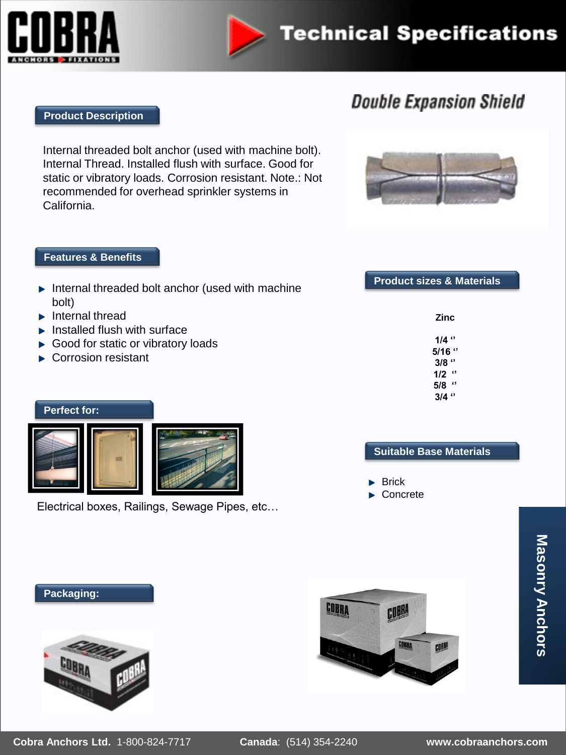



# **Technical Specifications**

### **Double Expansion Shield**

### **Product Description**

Internal threaded bolt anchor (used with machine bolt). Internal Thread. Installed flush with surface. Good for static or vibratory loads. Corrosion resistant. Note.: Not recommended for overhead sprinkler systems in California.

### **Features & Benefits**

| <b>Features &amp; Benefits</b>                            |                                     |
|-----------------------------------------------------------|-------------------------------------|
| Internal threaded bolt anchor (used with machine<br>bolt) | <b>Product sizes &amp; Material</b> |
| Internal thread<br>Installed flush with surface           | <b>Zinc</b>                         |
| Good for static or vibratory loads                        | $1/4$ $\cdot$                       |
| Corrosion resistant                                       | $5/16$ $"$                          |
|                                                           | $3/8$ $"$                           |
|                                                           | $1/2$ $"$                           |
|                                                           | $5/8$ $"$                           |
|                                                           | $3/4$ $\cdot$                       |
| <b>Perfect for:</b>                                       |                                     |
|                                                           |                                     |
|                                                           | <b>Suitable Base Materials</b>      |
|                                                           | $\blacktriangleright$ Brick         |

Electrical boxes, Railings, Sewage Pipes, etc…

**Product sizes & Materials**

- Brick
- Concrete

COBRA

GOBRA

 $000$ 

**Masonry Anchors Masonry Anchors**





**COBRA**